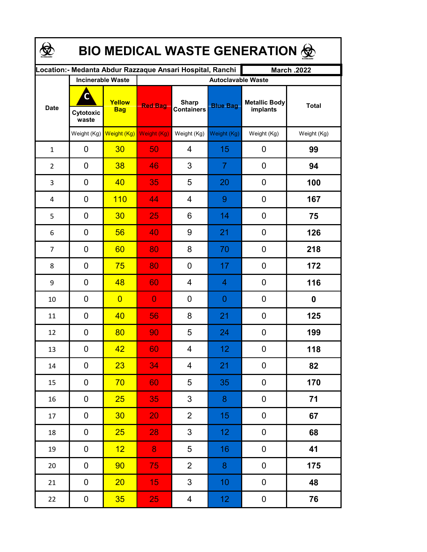| <b>BIO MEDICAL WASTE GENERATION ©</b> |                          |                         |                                                           |                                   |                  |                                  |              |  |  |  |
|---------------------------------------|--------------------------|-------------------------|-----------------------------------------------------------|-----------------------------------|------------------|----------------------------------|--------------|--|--|--|
|                                       |                          |                         | Location:- Medanta Abdur Razzaque Ansari Hospital, Ranchi |                                   |                  | <b>March .2022</b>               |              |  |  |  |
|                                       | <b>Incinerable Waste</b> |                         | <b>Autoclavable Waste</b>                                 |                                   |                  |                                  |              |  |  |  |
| <b>Date</b>                           | C<br>Cytotoxic<br>waste  | Yellow<br><b>Bag</b>    | <b>Red Bag</b>                                            | <b>Sharp</b><br><b>Containers</b> | <b>Blue Bag</b>  | <b>Metallic Body</b><br>implants | <b>Total</b> |  |  |  |
|                                       |                          | Weight (Kg) Weight (Kg) | Weight (Kg)                                               | Weight (Kg)                       | Weight (Kg)      | Weight (Kg)                      | Weight (Kg)  |  |  |  |
| $\mathbf{1}$                          | 0                        | 30                      | 50                                                        | $\overline{4}$                    | 15               | 0                                | 99           |  |  |  |
| $\overline{2}$                        | 0                        | 38                      | 46                                                        | 3                                 | $\overline{7}$   | $\mathbf 0$                      | 94           |  |  |  |
| 3                                     | 0                        | 40                      | 35                                                        | 5                                 | 20               | $\mathbf 0$                      | 100          |  |  |  |
| 4                                     | 0                        | 110                     | 44                                                        | 4                                 | 9                | $\mathbf 0$                      | 167          |  |  |  |
| 5                                     | 0                        | 30                      | 25                                                        | 6                                 | 14               | $\mathbf 0$                      | 75           |  |  |  |
| 6                                     | 0                        | 56                      | 40                                                        | 9                                 | 21               | $\mathbf 0$                      | 126          |  |  |  |
| $\overline{7}$                        | 0                        | 60                      | 80                                                        | 8                                 | 70               | $\mathbf 0$                      | 218          |  |  |  |
| 8                                     | 0                        | 75                      | 80                                                        | 0                                 | 17               | $\mathbf 0$                      | 172          |  |  |  |
| 9                                     | 0                        | 48                      | 60                                                        | 4                                 | 4                | 0                                | 116          |  |  |  |
| 10                                    | 0                        | $\overline{0}$          | $\overline{0}$                                            | 0                                 | 0                | 0                                | 0            |  |  |  |
| 11                                    | 0                        | 40                      | 56                                                        | 8                                 | 21               | 0                                | 125          |  |  |  |
| 12                                    | 0                        | 80                      | 90                                                        | 5                                 | 24               | 0                                | 199          |  |  |  |
| 13                                    | 0                        | 42 <sub>2</sub>         | 60                                                        | 4                                 | 12               | $\boldsymbol{0}$                 | 118          |  |  |  |
| $14\,$                                | 0                        | 23                      | 34                                                        | 4                                 | 21               | 0                                | 82           |  |  |  |
| 15                                    | 0                        | 70                      | 60 <sub>1</sub>                                           | 5                                 | 35               | 0                                | 170          |  |  |  |
| 16                                    | 0                        | 25                      | 35                                                        | $\mathbf{3}$                      | 8                | 0                                | 71           |  |  |  |
| 17                                    | 0                        | 30 <sub>2</sub>         | 20                                                        | $\overline{2}$                    | 15 <sub>15</sub> | 0                                | 67           |  |  |  |
| 18                                    | 0                        | 25 <sub>2</sub>         | 28                                                        | $\mathbf{3}$                      | 12 <sub>1</sub>  | 0                                | 68           |  |  |  |
| 19                                    | 0                        | 12 <sub>2</sub>         | 8                                                         | 5                                 | 16               | 0                                | 41           |  |  |  |
| 20                                    | 0                        | 90                      | 75                                                        | $\overline{2}$                    | 8                | 0                                | 175          |  |  |  |
| 21                                    | $\pmb{0}$                | 20 <sub>2</sub>         | 15                                                        | $\mathfrak{S}$                    | 10 <sub>1</sub>  | $\pmb{0}$                        | 48           |  |  |  |
| 22                                    | $\boldsymbol{0}$         | 35 <sub>2</sub>         | 25                                                        | $\overline{4}$                    | 12 <sub>1</sub>  | $\pmb{0}$                        | 76           |  |  |  |